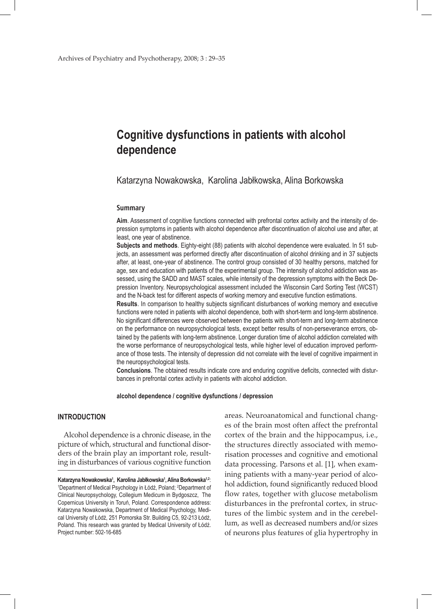# **Cognitive dysfunctions in patients with alcohol dependence**

Katarzyna Nowakowska, Karolina Jabłkowska, Alina Borkowska

#### **Summary**

**Aim**. Assessment of cognitive functions connected with prefrontal cortex activity and the intensity of depression symptoms in patients with alcohol dependence after discontinuation of alcohol use and after, at least, one year of abstinence.

**Subjects and methods**. Eighty-eight (88) patients with alcohol dependence were evaluated. In 51 subjects, an assessment was performed directly after discontinuation of alcohol drinking and in 37 subjects after, at least, one-year of abstinence. The control group consisted of 30 healthy persons, matched for age, sex and education with patients of the experimental group. The intensity of alcohol addiction was assessed, using the SADD and MAST scales, while intensity of the depression symptoms with the Beck Depression Inventory. Neuropsychological assessment included the Wisconsin Card Sorting Test (WCST) and the N-back test for different aspects of working memory and executive function estimations.

**Results**. In comparison to healthy subjects significant disturbances of working memory and executive functions were noted in patients with alcohol dependence, both with short-term and long-term abstinence. No significant differences were observed between the patients with short-term and long-term abstinence on the performance on neuropsychological tests, except better results of non-perseverance errors, obtained by the patients with long-term abstinence. Longer duration time of alcohol addiction correlated with the worse performance of neuropsychological tests, while higher level of education improved performance of those tests. The intensity of depression did not correlate with the level of cognitive impairment in the neuropsychological tests.

**Conclusions**. The obtained results indicate core and enduring cognitive deficits, connected with disturbances in prefrontal cortex activity in patients with alcohol addiction.

**alcohol dependence / cognitive dysfunctions / depression**

# **INTRODUCTION**

Alcohol dependence is a chronic disease, in the picture of which, structural and functional disorders of the brain play an important role, resulting in disturbances of various cognitive function areas. Neuroanatomical and functional changes of the brain most often affect the prefrontal cortex of the brain and the hippocampus, i.e., the structures directly associated with memorisation processes and cognitive and emotional data processing. Parsons et al. [1], when examining patients with a many-year period of alcohol addiction, found significantly reduced blood flow rates, together with glucose metabolism disturbances in the prefrontal cortex, in structures of the limbic system and in the cerebellum, as well as decreased numbers and/or sizes of neurons plus features of glia hypertrophy in

**Katarzyna Nowakowska<sup>1</sup>, Karolina Jabłkowska<sup>1</sup>, Alina Borkowska<sup>12</sup>:<br>1Denartment of Medical Psychology in Łódź, Poland: <sup>2</sup>Denartment of** Department of Medical Psychology in Łódź, Poland; <sup>2</sup>Department of Clinical Neuropsychology, Collegium Medicum in Bydgoszcz, The Copernicus University in Toruń, Poland. Correspondence address: Katarzyna Nowakowska, Department of Medical Psychology, Medical University of Łódź, 251 Pomorska Str. Building C5, 92-213 Łódź, Poland. This research was granted by Medical University of Łódź. Project number: 502-16-685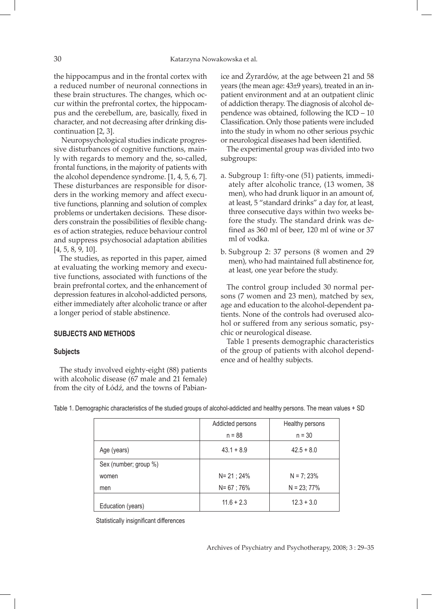the hippocampus and in the frontal cortex with a reduced number of neuronal connections in these brain structures. The changes, which occur within the prefrontal cortex, the hippocampus and the cerebellum, are, basically, fixed in character, and not decreasing after drinking discontinuation [2, 3].

 Neuropsychological studies indicate progressive disturbances of cognitive functions, mainly with regards to memory and the, so-called, frontal functions, in the majority of patients with the alcohol dependence syndrome. [1, 4, 5, 6, 7]. These disturbances are responsible for disorders in the working memory and affect executive functions, planning and solution of complex problems or undertaken decisions. These disorders constrain the possibilities of flexible changes of action strategies, reduce behaviour control and suppress psychosocial adaptation abilities [4, 5, 8, 9, 10].

The studies, as reported in this paper, aimed at evaluating the working memory and executive functions, associated with functions of the brain prefrontal cortex, and the enhancement of depression features in alcohol-addicted persons, either immediately after alcoholic trance or after a longer period of stable abstinence.

# **SUBJECTS AND METHODS**

#### **Subjects**

The study involved eighty-eight (88) patients with alcoholic disease (67 male and 21 female) from the city of Łódź, and the towns of Pabianice and Żyrardów, at the age between 21 and 58 years (the mean age: 43±9 years), treated in an inpatient environment and at an outpatient clinic of addiction therapy. The diagnosis of alcohol dependence was obtained, following the ICD – 10 Classification. Only those patients were included into the study in whom no other serious psychic or neurological diseases had been identified.

The experimental group was divided into two subgroups:

- a. Subgroup 1: fifty-one (51) patients, immediately after alcoholic trance, (13 women, 38 men), who had drunk liquor in an amount of, at least, 5 "standard drinks" a day for, at least, three consecutive days within two weeks before the study. The standard drink was defined as 360 ml of beer, 120 ml of wine or 37 ml of vodka.
- b. Subgroup 2: 37 persons (8 women and 29 men), who had maintained full abstinence for, at least, one year before the study.

The control group included 30 normal persons (7 women and 23 men), matched by sex, age and education to the alcohol-dependent patients. None of the controls had overused alcohol or suffered from any serious somatic, psychic or neurological disease.

Table 1 presents demographic characteristics of the group of patients with alcohol dependence and of healthy subjects.

|                       | Addicted persons | Healthy persons |  |  |
|-----------------------|------------------|-----------------|--|--|
|                       | $n = 88$         | $n = 30$        |  |  |
| Age (years)           | $43.1 + 8.9$     | $42.5 + 8.0$    |  |  |
| Sex (number; group %) |                  |                 |  |  |
| women                 | $N = 21$ ; 24%   | $N = 7; 23%$    |  |  |
| men                   | $N = 67$ ; 76%   | $N = 23; 77%$   |  |  |
| Education (years)     | $11.6 + 2.3$     | $12.3 + 3.0$    |  |  |

Table 1. Demographic characteristics of the studied groups of alcohol-addicted and healthy persons. The mean values + SD

Statistically insignificant differences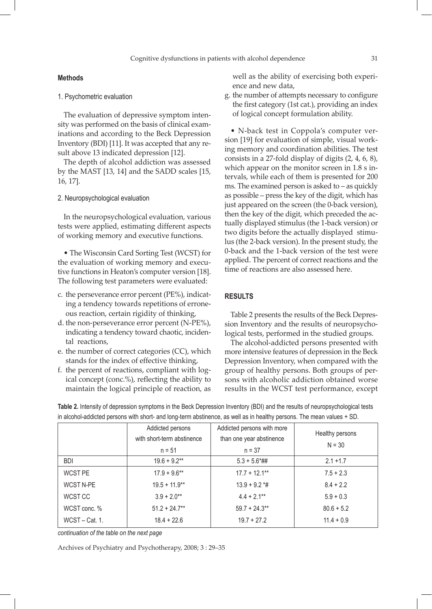## **Methods**

#### 1. Psychometric evaluation

The evaluation of depressive symptom intensity was performed on the basis of clinical examinations and according to the Beck Depression Inventory (BDI) [11]. It was accepted that any result above 13 indicated depression [12].

The depth of alcohol addiction was assessed by the MAST [13, 14] and the SADD scales [15, 16, 17].

## 2. Neuropsychological evaluation

In the neuropsychological evaluation, various tests were applied, estimating different aspects of working memory and executive functions.

• The Wisconsin Card Sorting Test (WCST) for the evaluation of working memory and executive functions in Heaton's computer version [18]. The following test parameters were evaluated:

- c. the perseverance error percent (PE%), indicating a tendency towards repetitions of erroneous reaction, certain rigidity of thinking,
- d. the non-perseverance error percent (N-PE%), indicating a tendency toward chaotic, incidental reactions,
- e. the number of correct categories (CC), which stands for the index of effective thinking,
- f. the percent of reactions, compliant with logical concept (conc.%), reflecting the ability to maintain the logical principle of reaction, as

well as the ability of exercising both experience and new data,

g. the number of attempts necessary to configure the first category (1st cat.), providing an index of logical concept formulation ability.

• N-back test in Coppola's computer version [19] for evaluation of simple, visual working memory and coordination abilities. The test consists in a 27-fold display of digits (2, 4, 6, 8), which appear on the monitor screen in 1.8 s intervals, while each of them is presented for 200 ms. The examined person is asked to – as quickly as possible – press the key of the digit, which has just appeared on the screen (the 0-back version), then the key of the digit, which preceded the actually displayed stimulus (the 1-back version) or two digits before the actually displayed stimulus (the 2-back version). In the present study, the 0-back and the 1-back version of the test were applied. The percent of correct reactions and the time of reactions are also assessed here.

#### **RESULTS**

Table 2 presents the results of the Beck Depression Inventory and the results of neuropsychological tests, performed in the studied groups.

The alcohol-addicted persons presented with more intensive features of depression in the Beck Depression Inventory, when compared with the group of healthy persons. Both groups of persons with alcoholic addiction obtained worse results in the WCST test performance, except

|                  | Addicted persons<br>with short-term abstinence<br>$n = 51$ | Addicted persons with more<br>than one year abstinence<br>$n = 37$ | Healthy persons<br>$N = 30$ |  |
|------------------|------------------------------------------------------------|--------------------------------------------------------------------|-----------------------------|--|
| <b>BDI</b>       | $19.6 + 9.2**$                                             | $5.3 + 5.6$ *##                                                    | $2.1 + 1.7$                 |  |
| <b>WCST PE</b>   | $17.9 + 9.6**$                                             | $17.7 + 12.1***$                                                   | $7.5 + 2.3$                 |  |
| <b>WCST N-PE</b> | $19.5 + 11.9**$                                            | $13.9 + 9.2$ *#                                                    | $8.4 + 2.2$                 |  |
| WCST CC          | $3.9 + 2.0**$                                              | $4.4 + 2.1***$                                                     | $5.9 + 0.3$                 |  |
| WCST conc. %     | $51.2 + 24.7**$                                            | $59.7 + 24.3**$                                                    | $80.6 + 5.2$                |  |
| WCST-Cat. 1.     | $18.4 + 22.6$                                              | $19.7 + 27.2$                                                      | $11.4 + 0.9$                |  |

**Table 2.** Intensity of depression symptoms in the Beck Depression Inventory (BDI) and the results of neuropsychological tests in alcohol-addicted persons with short- and long-term abstinence, as well as in healthy persons. The mean values + SD.

*continuation of the table on the next page*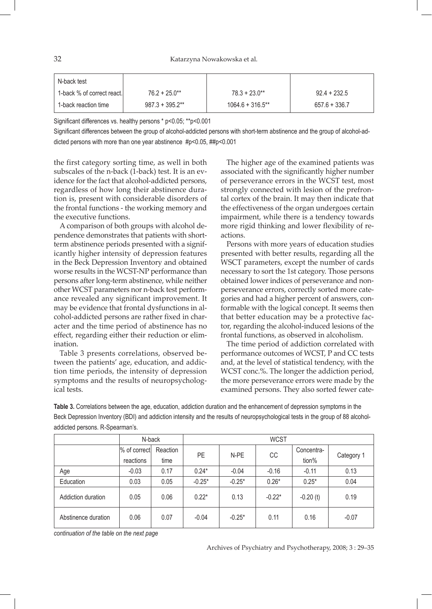32 Katarzyna Nowakowska et al.

| N-back test                |                    |                     |                 |
|----------------------------|--------------------|---------------------|-----------------|
| 1-back % of correct react. | $76.2 + 25.0^{**}$ | $78.3 + 23.0**$     | $92.4 + 232.5$  |
| 1-back reaction time       | $987.3 + 395.2**$  | $1064.6 + 316.5$ ** | $657.6 + 336.7$ |

Significant differences vs. healthy persons \* p<0.05; \*\*p<0.001

Significant differences between the group of alcohol-addicted persons with short-term abstinence and the group of alcohol-addicted persons with more than one year abstinence #p<0.05, ##p<0.001

the first category sorting time, as well in both subscales of the n-back (1-back) test. It is an evidence for the fact that alcohol-addicted persons, regardless of how long their abstinence duration is, present with considerable disorders of the frontal functions - the working memory and the executive functions.

A comparison of both groups with alcohol dependence demonstrates that patients with shortterm abstinence periods presented with a significantly higher intensity of depression features in the Beck Depression Inventory and obtained worse results in the WCST-NP performance than persons after long-term abstinence, while neither other WCST parameters nor n-back test performance revealed any significant improvement. It may be evidence that frontal dysfunctions in alcohol-addicted persons are rather fixed in character and the time period of abstinence has no effect, regarding either their reduction or elimination.

Table 3 presents correlations, observed between the patients' age, education, and addiction time periods, the intensity of depression symptoms and the results of neuropsychological tests.

The higher age of the examined patients was associated with the significantly higher number of perseverance errors in the WCST test, most strongly connected with lesion of the prefrontal cortex of the brain. It may then indicate that the effectiveness of the organ undergoes certain impairment, while there is a tendency towards more rigid thinking and lower flexibility of reactions.

Persons with more years of education studies presented with better results, regarding all the WSCT parameters, except the number of cards necessary to sort the 1st category. Those persons obtained lower indices of perseverance and nonperseverance errors, correctly sorted more categories and had a higher percent of answers, conformable with the logical concept. It seems then that better education may be a protective factor, regarding the alcohol-induced lesions of the frontal functions, as observed in alcoholism.

The time period of addiction correlated with performance outcomes of WCST, P and CC tests and, at the level of statistical tendency, with the WCST conc.%. The longer the addiction period, the more perseverance errors were made by the examined persons. They also sorted fewer cate-

**Table 3.** Correlations between the age, education, addiction duration and the enhancement of depression symptoms in the Beck Depression Inventory (BDI) and addiction intensity and the results of neuropsychological tests in the group of 88 alcoholaddicted persons. R-Spearman's.

|                     | N-back                    |                  | <b>WCST</b> |          |          |                     |            |
|---------------------|---------------------------|------------------|-------------|----------|----------|---------------------|------------|
|                     | % of correct<br>reactions | Reaction<br>time | PE          | N-PE     | CC       | Concentra-<br>tion% | Category 1 |
| Age                 | $-0.03$                   | 0.17             | $0.24*$     | $-0.04$  | $-0.16$  | $-0.11$             | 0.13       |
| Education           | 0.03                      | 0.05             | $-0.25*$    | $-0.25*$ | $0.26*$  | $0.25*$             | 0.04       |
| Addiction duration  | 0.05                      | 0.06             | $0.22*$     | 0.13     | $-0.22*$ | $-0.20(t)$          | 0.19       |
| Abstinence duration | 0.06                      | 0.07             | $-0.04$     | $-0.25*$ | 0.11     | 0.16                | $-0.07$    |

*continuation of the table on the next page*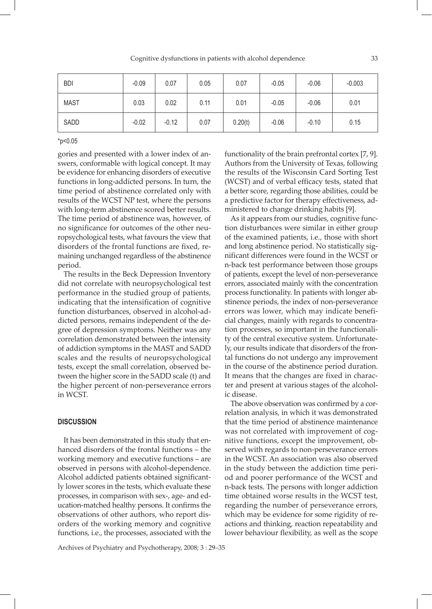Cognitive dysfunctions in patients with alcohol dependence 33

| <b>BDI</b>  | $-0.09$ | 0.07    | 0.05 | 0.07    | $-0.05$ | $-0.06$ | $-0.003$ |
|-------------|---------|---------|------|---------|---------|---------|----------|
| <b>MAST</b> | 0.03    | 0.02    | 0.11 | 0.01    | $-0.05$ | $-0.06$ | 0.01     |
| SADD        | $-0.02$ | $-0.12$ | 0.07 | 0.20(t) | $-0.06$ | $-0.10$ | 0.15     |

\*p<0.05

gories and presented with a lower index of answers, conformable with logical concept. It may be evidence for enhancing disorders of executive functions in long-addicted persons. In turn, the time period of abstinence correlated only with results of the WCST NP test, where the persons with long-term abstinence scored better results. The time period of abstinence was, however, of no significance for outcomes of the other neuropsychological tests, what favours the view that disorders of the frontal functions are fixed, remaining unchanged regardless of the abstinence period.

The results in the Beck Depression Inventory did not correlate with neuropsychological test performance in the studied group of patients, indicating that the intensification of cognitive function disturbances, observed in alcohol-addicted persons, remains independent of the degree of depression symptoms. Neither was any correlation demonstrated between the intensity of addiction symptoms in the MAST and SADD scales and the results of neuropsychological tests, except the small correlation, observed between the higher score in the SADD scale (t) and the higher percent of non-perseverance errors in WCST.

## **DISCUSSION**

It has been demonstrated in this study that enhanced disorders of the frontal functions – the working memory and executive functions – are observed in persons with alcohol-dependence. Alcohol addicted patients obtained significantly lower scores in the tests, which evaluate these processes, in comparison with sex-, age- and education-matched healthy persons. It confirms the observations of other authors, who report disorders of the working memory and cognitive functions, i.e., the processes, associated with the functionality of the brain prefrontal cortex [7, 9]. Authors from the University of Texas, following the results of the Wisconsin Card Sorting Test (WCST) and of verbal efficacy tests, stated that a better score, regarding those abilities, could be a predictive factor for therapy effectiveness, administered to change drinking habits [9].

As it appears from our studies, cognitive function disturbances were similar in either group of the examined patients, i.e., those with short and long abstinence period. No statistically significant differences were found in the WCST or n-back test performance between those groups of patients, except the level of non-perseverance errors, associated mainly with the concentration process functionality. In patients with longer abstinence periods, the index of non-perseverance errors was lower, which may indicate beneficial changes, mainly with regards to concentration processes, so important in the functionality of the central executive system. Unfortunately, our results indicate that disorders of the frontal functions do not undergo any improvement in the course of the abstinence period duration. It means that the changes are fixed in character and present at various stages of the alcoholic disease.

The above observation was confirmed by a correlation analysis, in which it was demonstrated that the time period of abstinence maintenance was not correlated with improvement of cognitive functions, except the improvement, observed with regards to non-perseverance errors in the WCST. An association was also observed in the study between the addiction time period and poorer performance of the WCST and n-back tests. The persons with longer addiction time obtained worse results in the WCST test, regarding the number of perseverance errors, which may be evidence for some rigidity of reactions and thinking, reaction repeatability and lower behaviour flexibility, as well as the scope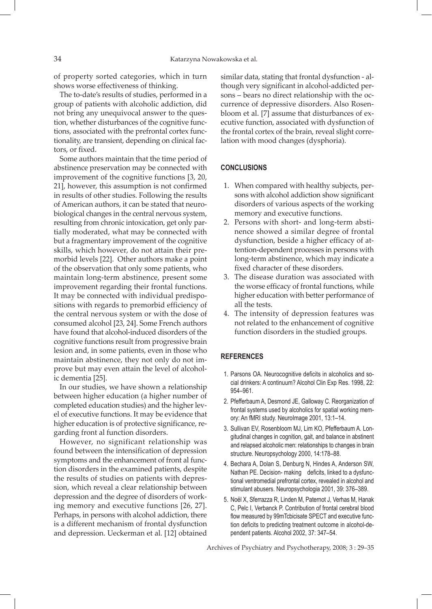of property sorted categories, which in turn shows worse effectiveness of thinking.

The to-date's results of studies, performed in a group of patients with alcoholic addiction, did not bring any unequivocal answer to the question, whether disturbances of the cognitive functions, associated with the prefrontal cortex functionality, are transient, depending on clinical factors, or fixed.

Some authors maintain that the time period of abstinence preservation may be connected with improvement of the cognitive functions [3, 20, 21], however, this assumption is not confirmed in results of other studies. Following the results of American authors, it can be stated that neurobiological changes in the central nervous system, resulting from chronic intoxication, get only partially moderated, what may be connected with but a fragmentary improvement of the cognitive skills, which however, do not attain their premorbid levels [22]. Other authors make a point of the observation that only some patients, who maintain long-term abstinence, present some improvement regarding their frontal functions. It may be connected with individual predispositions with regards to premorbid efficiency of the central nervous system or with the dose of consumed alcohol [23, 24]. Some French authors have found that alcohol-induced disorders of the cognitive functions result from progressive brain lesion and, in some patients, even in those who maintain abstinence, they not only do not improve but may even attain the level of alcoholic dementia [25].

In our studies, we have shown a relationship between higher education (a higher number of completed education studies) and the higher level of executive functions. It may be evidence that higher education is of protective significance, regarding front al function disorders.

However, no significant relationship was found between the intensification of depression symptoms and the enhancement of front al function disorders in the examined patients, despite the results of studies on patients with depression, which reveal a clear relationship between depression and the degree of disorders of working memory and executive functions [26, 27]. Perhaps, in persons with alcohol addiction, there is a different mechanism of frontal dysfunction and depression. Ueckerman et al. [12] obtained

similar data, stating that frontal dysfunction - although very significant in alcohol-addicted persons – bears no direct relationship with the occurrence of depressive disorders. Also Rosenbloom et al. [7] assume that disturbances of executive function, associated with dysfunction of the frontal cortex of the brain, reveal slight correlation with mood changes (dysphoria).

## **CONCLUSIONS**

- 1. When compared with healthy subjects, persons with alcohol addiction show significant disorders of various aspects of the working memory and executive functions.
- 2. Persons with short- and long-term abstinence showed a similar degree of frontal dysfunction, beside a higher efficacy of attention-dependent processes in persons with long-term abstinence, which may indicate a fixed character of these disorders.
- 3. The disease duration was associated with the worse efficacy of frontal functions, while higher education with better performance of all the tests.
- 4. The intensity of depression features was not related to the enhancement of cognitive function disorders in the studied groups.

## **REFERENCES**

- 1. Parsons OA. Neurocognitive deficits in alcoholics and social drinkers: A continuum? Alcohol Clin Exp Res. 1998, 22: 954–961.
- 2. Pfefferbaum A, Desmond JE, Galloway C. Reorganization of frontal systems used by alcoholics for spatial working memory: An fMRI study. NeuroImage 2001, 13:1–14.
- 3. Sullivan EV, Rosenbloom MJ, Lim KO, Pfefferbaum A. Longitudinal changes in cognition, gait, and balance in abstinent and relapsed alcoholic men: relationships to changes in brain structure. Neuropsychology 2000, 14:178–88.
- 4. Bechara A, Dolan S, Denburg N, Hindes A, Anderson SW, Nathan PE. Decision- making deficits, linked to a dysfunctional ventromedial prefrontal cortex, revealed in alcohol and stimulant abusers. Neuropsychologia 2001, 39: 376–389.
- 5. Noël X, Sferrazza R, Linden M, Paternot J, Verhas M, Hanak C, Pelc I, Verbanck P. Contribution of frontal cerebral blood flow measured by 99mTcbicisate SPECT and executive function deficits to predicting treatment outcome in alcohol-dependent patients. Alcohol 2002, 37: 347–54.